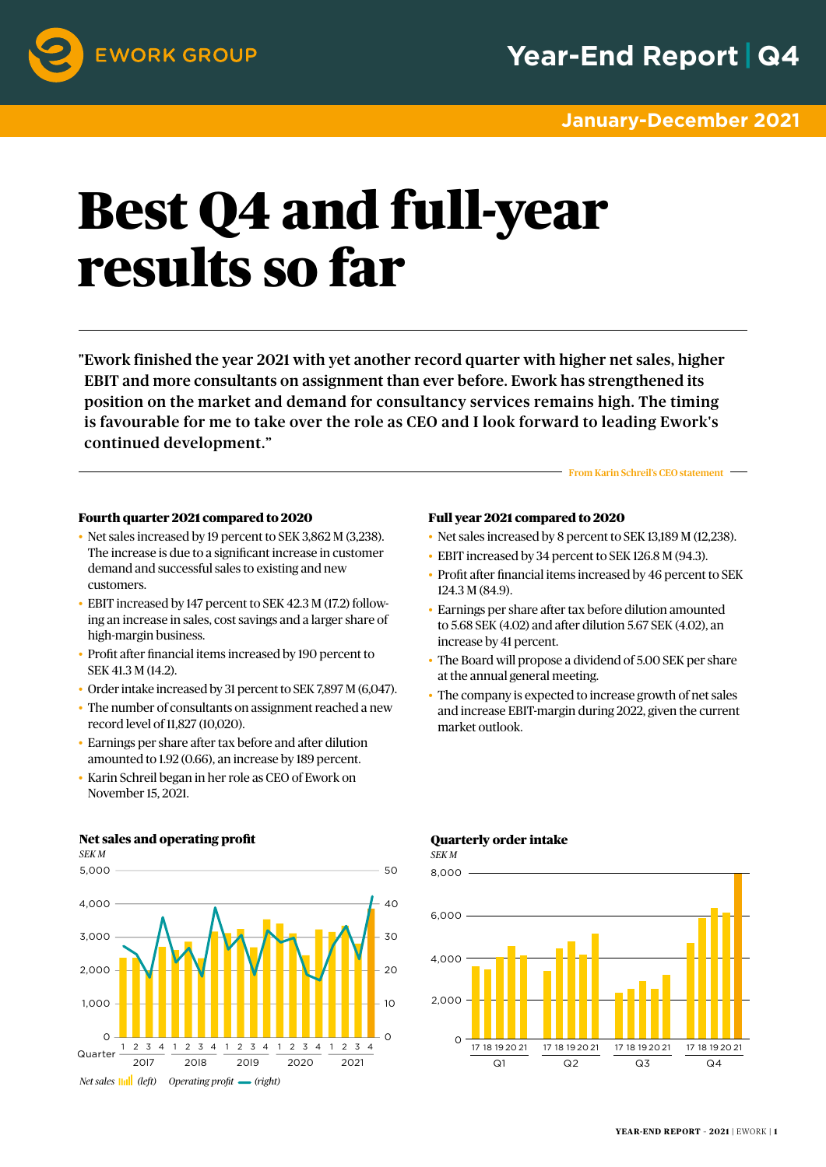

#### **January-December 2021**

# Best Q4 and full-year results so far

"Ework finished the year 2021 with yet another record quarter with higher net sales, higher EBIT and more consultants on assignment than ever before. Ework has strengthened its position on the market and demand for consultancy services remains high. The timing is favourable for me to take over the role as CEO and I look forward to leading Ework's continued development."

#### Fourth quarter 2021 compared to 2020

- Net sales increased by 19 percent to SEK 3,862 M (3,238). The increase is due to a significant increase in customer demand and successful sales to existing and new customers.
- EBIT increased by 147 percent to SEK 42.3 M (17.2) following an increase in sales, cost savings and a larger share of high-margin business.
- Profit after financial items increased by 190 percent to SEK 41.3 M (14.2).
- Order intake increased by 31 percent to SEK 7,897 M (6,047).
- The number of consultants on assignment reached a new record level of 11,827 (10,020).
- Earnings per share after tax before and after dilution amounted to 1.92 (0.66), an increase by 189 percent.
- Karin Schreil began in her role as CEO of Ework on November 15, 2021.

### Quarterly order intake

*SEK M*





#### Full year 2021 compared to 2020 • Net sales increased by 8 percent to SEK 13,189 M (12,238).

From Karin Schreil's CEO statement

- EBIT increased by 34 percent to SEK 126.8 M (94.3).
- Profit after financial items increased by 46 percent to SEK 124.3 M (84.9).
- Earnings per share after tax before dilution amounted to 5.68 SEK (4.02) and after dilution 5.67 SEK (4.02), an increase by 41 percent.
- The Board will propose a dividend of 5.00 SEK per share at the annual general meeting.
- The company is expected to increase growth of net sales and increase EBIT-margin during 2022, given the current market outlook.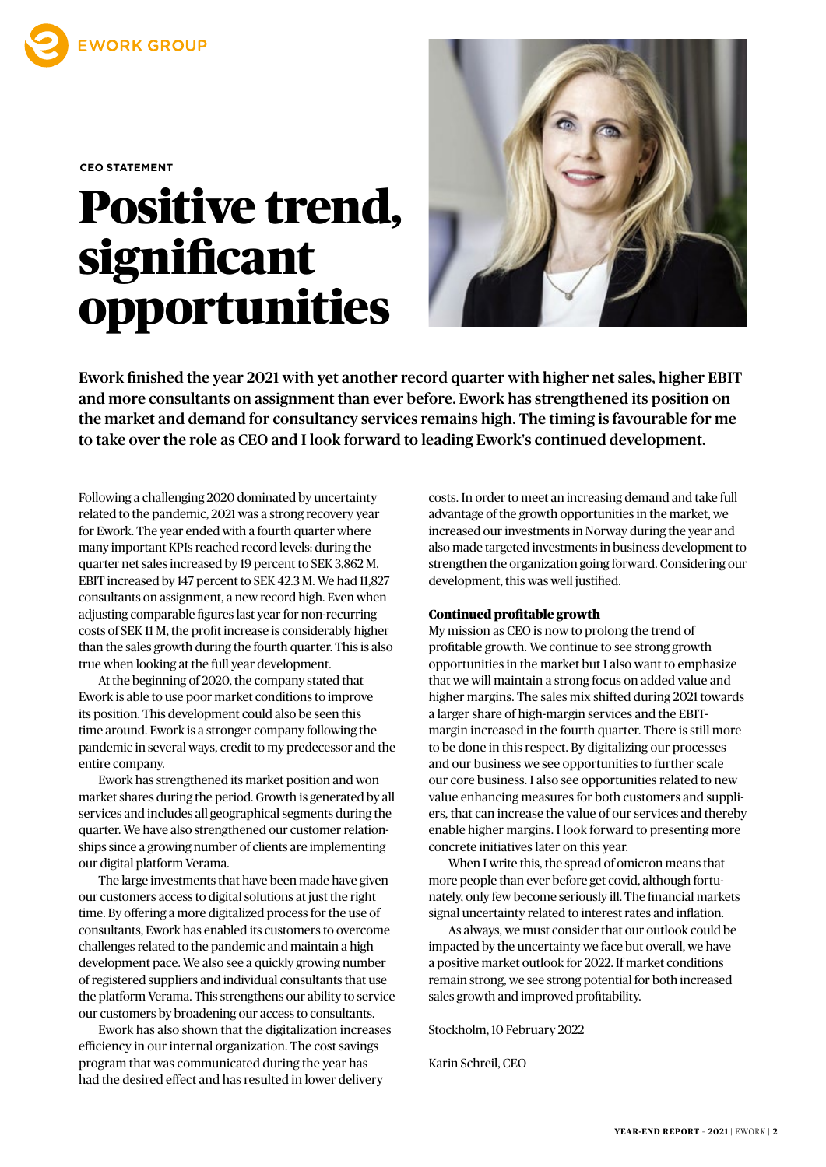

**CEO STATEMENT**

### Positive trend, significant opportunities



Ework finished the year 2021 with yet another record quarter with higher net sales, higher EBIT and more consultants on assignment than ever before. Ework has strengthened its position on the market and demand for consultancy services remains high. The timing is favourable for me to take over the role as CEO and I look forward to leading Ework's continued development.

Following a challenging 2020 dominated by uncertainty related to the pandemic, 2021 was a strong recovery year for Ework. The year ended with a fourth quarter where many important KPIs reached record levels: during the quarter net sales increased by 19 percent to SEK 3,862 M, EBIT increased by 147 percent to SEK 42.3 M. We had 11,827 consultants on assignment, a new record high. Even when adjusting comparable figures last year for non-recurring costs of SEK 11 M, the profit increase is considerably higher than the sales growth during the fourth quarter. This is also true when looking at the full year development.

At the beginning of 2020, the company stated that Ework is able to use poor market conditions to improve its position. This development could also be seen this time around. Ework is a stronger company following the pandemic in several ways, credit to my predecessor and the entire company.

Ework has strengthened its market position and won market shares during the period. Growth is generated by all services and includes all geographical segments during the quarter. We have also strengthened our customer relationships since a growing number of clients are implementing our digital platform Verama.

The large investments that have been made have given our customers access to digital solutions at just the right time. By offering a more digitalized process for the use of consultants, Ework has enabled its customers to overcome challenges related to the pandemic and maintain a high development pace. We also see a quickly growing number of registered suppliers and individual consultants that use the platform Verama. This strengthens our ability to service our customers by broadening our access to consultants.

Ework has also shown that the digitalization increases efficiency in our internal organization. The cost savings program that was communicated during the year has had the desired effect and has resulted in lower delivery

costs. In order to meet an increasing demand and take full advantage of the growth opportunities in the market, we increased our investments in Norway during the year and also made targeted investments in business development to strengthen the organization going forward. Considering our development, this was well justified.

#### Continued profitable growth

My mission as CEO is now to prolong the trend of profitable growth. We continue to see strong growth opportunities in the market but I also want to emphasize that we will maintain a strong focus on added value and higher margins. The sales mix shifted during 2021 towards a larger share of high-margin services and the EBITmargin increased in the fourth quarter. There is still more to be done in this respect. By digitalizing our processes and our business we see opportunities to further scale our core business. I also see opportunities related to new value enhancing measures for both customers and suppliers, that can increase the value of our services and thereby enable higher margins. I look forward to presenting more concrete initiatives later on this year.

When I write this, the spread of omicron means that more people than ever before get covid, although fortunately, only few become seriously ill. The financial markets signal uncertainty related to interest rates and inflation.

As always, we must consider that our outlook could be impacted by the uncertainty we face but overall, we have a positive market outlook for 2022. If market conditions remain strong, we see strong potential for both increased sales growth and improved profitability.

Stockholm, 10 February 2022

Karin Schreil, CEO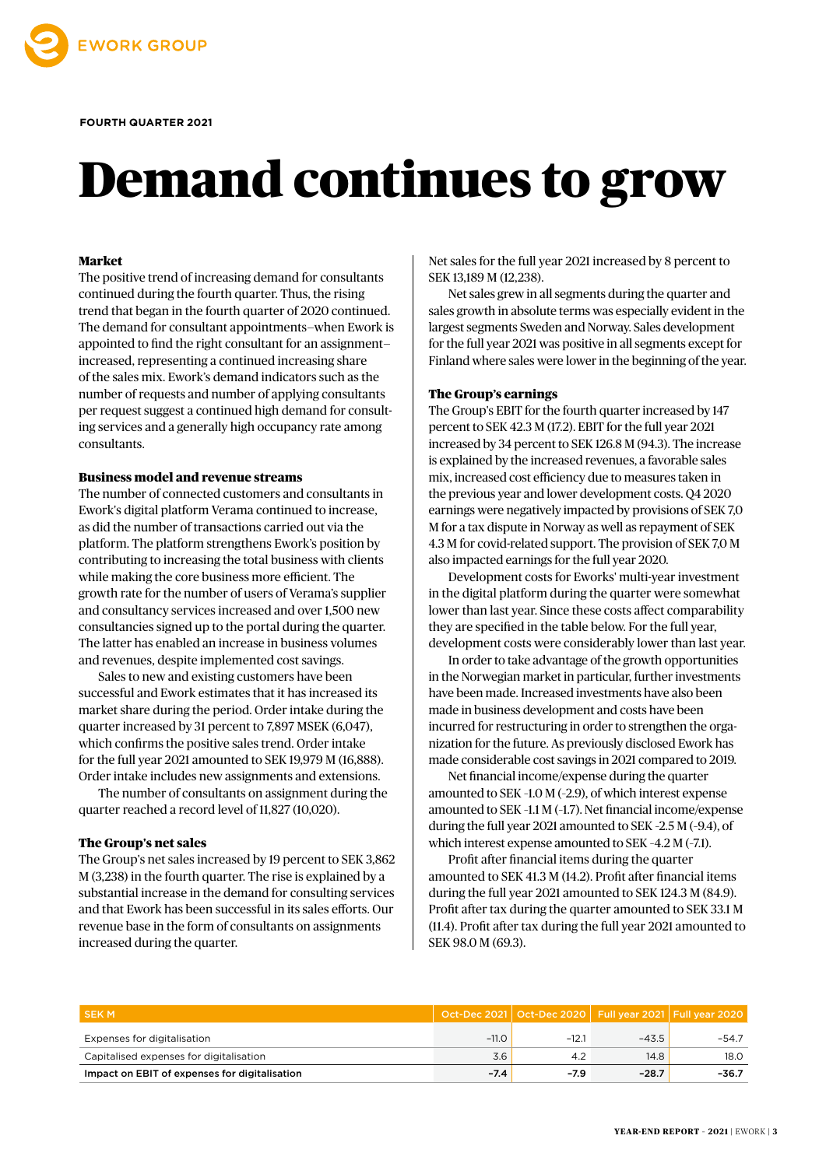

#### **FOURTH QUARTER 2021**

## Demand continues to grow

#### Market

The positive trend of increasing demand for consultants continued during the fourth quarter. Thus, the rising trend that began in the fourth quarter of 2020 continued. The demand for consultant appointments—when Ework is appointed to find the right consultant for an assignment increased, representing a continued increasing share of the sales mix. Ework's demand indicators such as the number of requests and number of applying consultants per request suggest a continued high demand for consulting services and a generally high occupancy rate among consultants.

#### Business model and revenue streams

The number of connected customers and consultants in Ework's digital platform Verama continued to increase, as did the number of transactions carried out via the platform. The platform strengthens Ework's position by contributing to increasing the total business with clients while making the core business more efficient. The growth rate for the number of users of Verama's supplier and consultancy services increased and over 1,500 new consultancies signed up to the portal during the quarter. The latter has enabled an increase in business volumes and revenues, despite implemented cost savings.

Sales to new and existing customers have been successful and Ework estimates that it has increased its market share during the period. Order intake during the quarter increased by 31 percent to 7,897 MSEK (6,047), which confirms the positive sales trend. Order intake for the full year 2021 amounted to SEK 19,979 M (16,888). Order intake includes new assignments and extensions.

The number of consultants on assignment during the quarter reached a record level of 11,827 (10,020).

#### The Group's net sales

The Group's net sales increased by 19 percent to SEK 3,862 M (3,238) in the fourth quarter. The rise is explained by a substantial increase in the demand for consulting services and that Ework has been successful in its sales efforts. Our revenue base in the form of consultants on assignments increased during the quarter.

Net sales for the full year 2021 increased by 8 percent to SEK 13,189 M (12,238).

Net sales grew in all segments during the quarter and sales growth in absolute terms was especially evident in the largest segments Sweden and Norway. Sales development for the full year 2021 was positive in all segments except for Finland where sales were lower in the beginning of the year.

#### The Group's earnings

The Group's EBIT for the fourth quarter increased by 147 percent to SEK 42.3 M (17.2). EBIT for the full year 2021 increased by 34 percent to SEK 126.8 M (94.3). The increase is explained by the increased revenues, a favorable sales mix, increased cost efficiency due to measures taken in the previous year and lower development costs. Q4 2020 earnings were negatively impacted by provisions of SEK 7,0 M for a tax dispute in Norway as well as repayment of SEK 4.3 M for covid-related support. The provision of SEK 7,0 M also impacted earnings for the full year 2020.

Development costs for Eworks' multi-year investment in the digital platform during the quarter were somewhat lower than last year. Since these costs affect comparability they are specified in the table below. For the full year, development costs were considerably lower than last year.

In order to take advantage of the growth opportunities in the Norwegian market in particular, further investments have been made. Increased investments have also been made in business development and costs have been incurred for restructuring in order to strengthen the organization for the future. As previously disclosed Ework has made considerable cost savings in 2021 compared to 2019.

Net financial income/expense during the quarter amounted to SEK –1.0 M (–2.9), of which interest expense amounted to SEK –1.1 M (–1.7). Net financial income/expense during the full year 2021 amounted to SEK –2.5 M (–9.4), of which interest expense amounted to SEK -4.2 M (-7.1).

Profit after financial items during the quarter amounted to SEK 41.3 M (14.2). Profit after financial items during the full year 2021 amounted to SEK 124.3 M (84.9). Profit after tax during the quarter amounted to SEK 33.1 M (11.4). Profit after tax during the full year 2021 amounted to SEK 98.0 M (69.3).

| <b>SEKM</b>                                   |         | Oct-Dec 2021   Oct-Dec 2020   Full year 2021   Full year 2020 |         |         |
|-----------------------------------------------|---------|---------------------------------------------------------------|---------|---------|
| Expenses for digitalisation                   | $-11.0$ | $-12.7$                                                       | $-43.5$ | $-54.7$ |
| Capitalised expenses for digitalisation       | 3.6     |                                                               | 14.8    | 18.0    |
| Impact on EBIT of expenses for digitalisation | $-7.4$  | $-7.9$                                                        | $-28.7$ | -36.7   |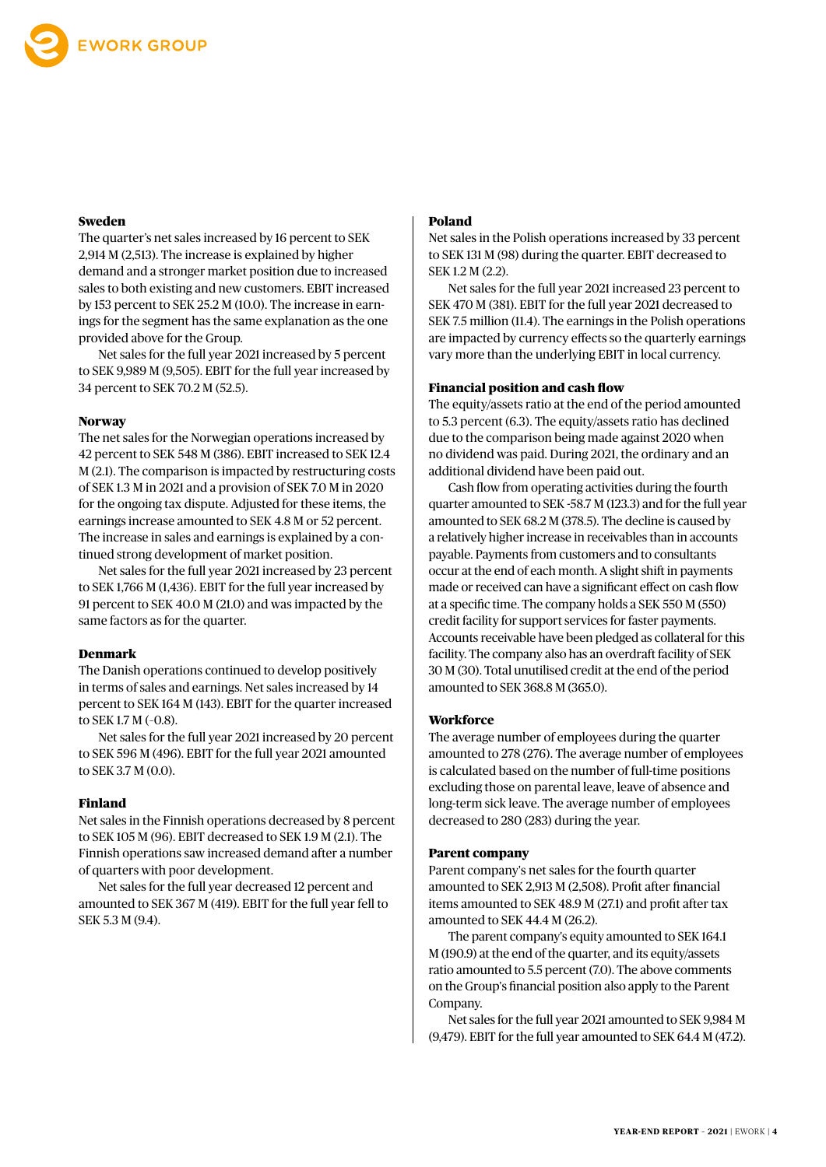#### Sweden

The quarter's net sales increased by 16 percent to SEK 2,914 M (2,513). The increase is explained by higher demand and a stronger market position due to increased sales to both existing and new customers. EBIT increased by 153 percent to SEK 25.2 M (10.0). The increase in earnings for the segment has the same explanation as the one provided above for the Group.

Net sales for the full year 2021 increased by 5 percent to SEK 9,989 M (9,505). EBIT for the full year increased by 34 percent to SEK 70.2 M (52.5).

#### **Norway**

The net sales for the Norwegian operations increased by 42 percent to SEK 548 M (386). EBIT increased to SEK 12.4 M (2.1). The comparison is impacted by restructuring costs of SEK 1.3 M in 2021 and a provision of SEK 7.0 M in 2020 for the ongoing tax dispute. Adjusted for these items, the earnings increase amounted to SEK 4.8 M or 52 percent. The increase in sales and earnings is explained by a continued strong development of market position.

Net sales for the full year 2021 increased by 23 percent to SEK 1,766 M (1,436). EBIT for the full year increased by 91 percent to SEK 40.0 M (21.0) and was impacted by the same factors as for the quarter.

#### Denmark

The Danish operations continued to develop positively in terms of sales and earnings. Net sales increased by 14 percent to SEK 164 M (143). EBIT for the quarter increased to SEK 1.7 M (–0.8).

Net sales for the full year 2021 increased by 20 percent to SEK 596 M (496). EBIT for the full year 2021 amounted to SEK 3.7 M (0.0).

#### Finland

Net sales in the Finnish operations decreased by 8 percent to SEK 105 M (96). EBIT decreased to SEK 1.9 M (2.1). The Finnish operations saw increased demand after a number of quarters with poor development.

Net sales for the full year decreased 12 percent and amounted to SEK 367 M (419). EBIT for the full year fell to SEK 5.3 M (9.4).

#### Poland

Net sales in the Polish operations increased by 33 percent to SEK 131 M (98) during the quarter. EBIT decreased to SEK 1.2 M (2.2).

Net sales for the full year 2021 increased 23 percent to SEK 470 M (381). EBIT for the full year 2021 decreased to SEK 7.5 million (11.4). The earnings in the Polish operations are impacted by currency effects so the quarterly earnings vary more than the underlying EBIT in local currency.

#### Financial position and cash flow

The equity/assets ratio at the end of the period amounted to 5.3 percent (6.3). The equity/assets ratio has declined due to the comparison being made against 2020 when no dividend was paid. During 2021, the ordinary and an additional dividend have been paid out.

Cash flow from operating activities during the fourth quarter amounted to SEK -58.7 M (123.3) and for the full year amounted to SEK 68.2 M (378.5). The decline is caused by a relatively higher increase in receivables than in accounts payable. Payments from customers and to consultants occur at the end of each month. A slight shift in payments made or received can have a significant effect on cash flow at a specific time. The company holds a SEK 550 M (550) credit facility for support services for faster payments. Accounts receivable have been pledged as collateral for this facility. The company also has an overdraft facility of SEK 30 M (30). Total unutilised credit at the end of the period amounted to SEK 368.8 M (365.0).

#### **Workforce**

The average number of employees during the quarter amounted to 278 (276). The average number of employees is calculated based on the number of full-time positions excluding those on parental leave, leave of absence and long-term sick leave. The average number of employees decreased to 280 (283) during the year.

#### Parent company

Parent company's net sales for the fourth quarter amounted to SEK 2,913 M (2,508). Profit after financial items amounted to SEK 48.9 M (27.1) and profit after tax amounted to SEK 44.4 M (26.2).

The parent company's equity amounted to SEK 164.1 M (190.9) at the end of the quarter, and its equity/assets ratio amounted to 5.5 percent (7.0). The above comments on the Group's financial position also apply to the Parent Company.

Net sales for the full year 2021 amounted to SEK 9,984 M (9,479). EBIT for the full year amounted to SEK 64.4 M (47.2).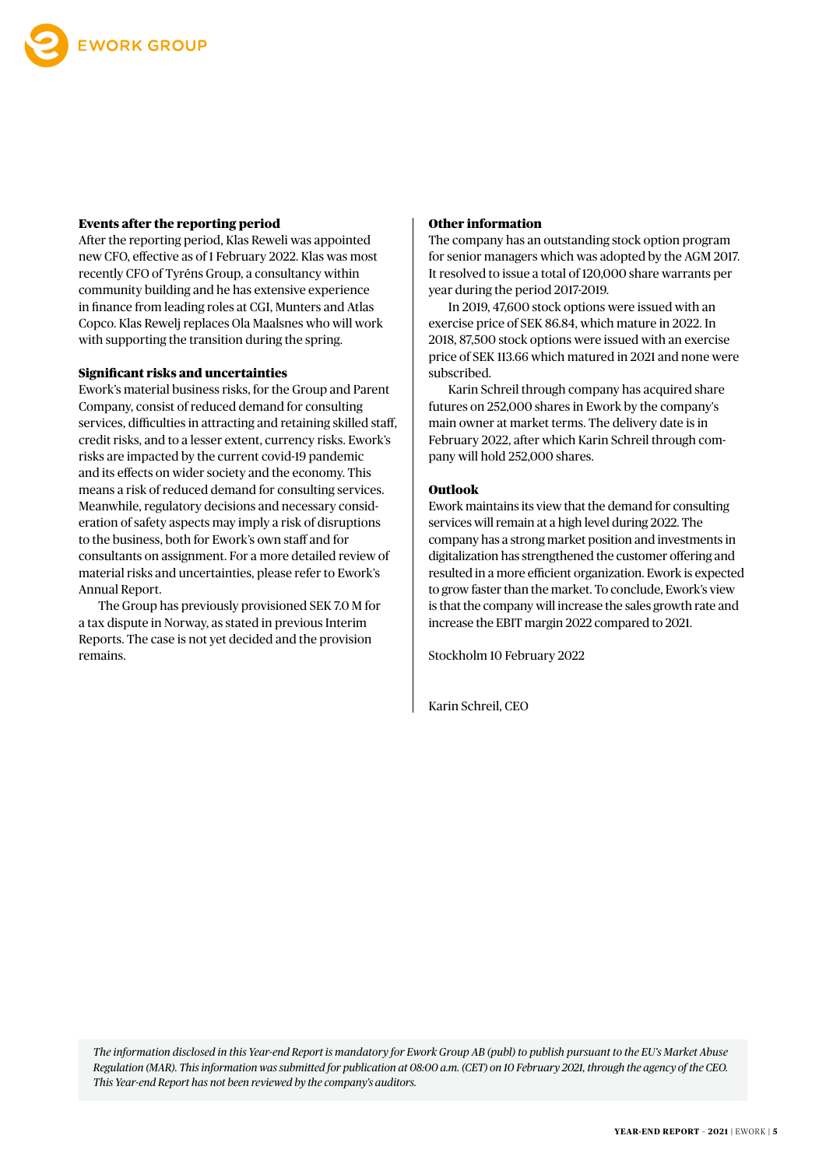

#### Events after the reporting period

After the reporting period, Klas Reweli was appointed new CFO, effective as of 1 February 2022. Klas was most recently CFO of Tyréns Group, a consultancy within community building and he has extensive experience in finance from leading roles at CGI, Munters and Atlas Copco. Klas Rewelj replaces Ola Maalsnes who will work with supporting the transition during the spring.

#### Significant risks and uncertainties

Ework's material business risks, for the Group and Parent Company, consist of reduced demand for consulting services, difficulties in attracting and retaining skilled staff, credit risks, and to a lesser extent, currency risks. Ework's risks are impacted by the current covid-19 pandemic and its effects on wider society and the economy. This means a risk of reduced demand for consulting services. Meanwhile, regulatory decisions and necessary consideration of safety aspects may imply a risk of disruptions to the business, both for Ework's own staff and for consultants on assignment. For a more detailed review of material risks and uncertainties, please refer to Ework's Annual Report.

The Group has previously provisioned SEK 7.0 M for a tax dispute in Norway, as stated in previous Interim Reports. The case is not yet decided and the provision remains.

#### Other information

The company has an outstanding stock option program for senior managers which was adopted by the AGM 2017. It resolved to issue a total of 120,000 share warrants per year during the period 2017-2019.

In 2019, 47,600 stock options were issued with an exercise price of SEK 86.84, which mature in 2022. In 2018, 87,500 stock options were issued with an exercise price of SEK 113.66 which matured in 2021 and none were subscribed.

Karin Schreil through company has acquired share futures on 252,000 shares in Ework by the company's main owner at market terms. The delivery date is in February 2022, after which Karin Schreil through company will hold 252,000 shares.

#### Outlook

Ework maintains its view that the demand for consulting services will remain at a high level during 2022. The company has a strong market position and investments in digitalization has strengthened the customer offering and resulted in a more efficient organization. Ework is expected to grow faster than the market. To conclude, Ework's view is that the company will increase the sales growth rate and increase the EBIT margin 2022 compared to 2021.

Stockholm 10 February 2022

Karin Schreil, CEO

*The information disclosed in this Year-end Report is mandatory for Ework Group AB (publ) to publish pursuant to the EU's Market Abuse Regulation (MAR). This information was submitted for publication at 08:00 a.m. (CET) on 10 February 2021, through the agency of the CEO. This Year-end Report has not been reviewed by the company's auditors.*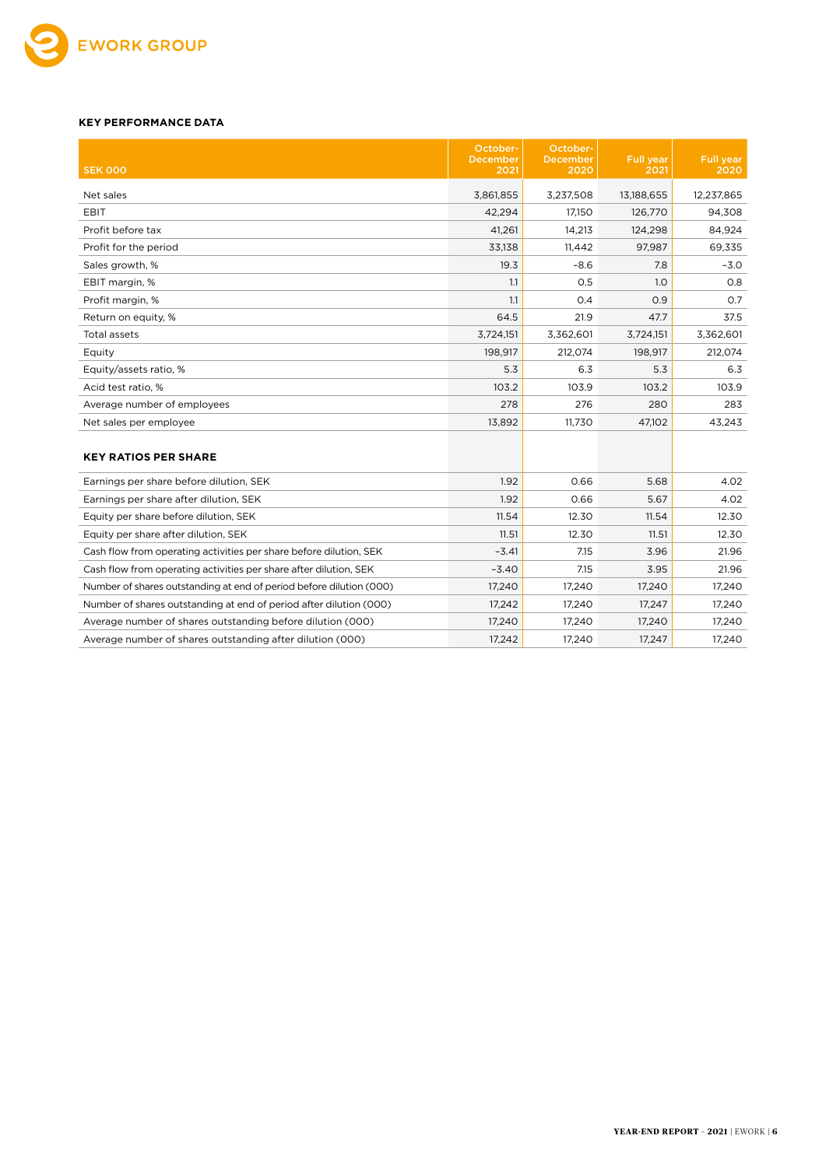

#### **KEY PERFORMANCE DATA**

| <b>SEK 000</b>                                                      | October-<br><b>December</b><br>2021 | October-<br>December<br>2020 | <b>Full year</b><br>2021 | <b>Full year</b> |
|---------------------------------------------------------------------|-------------------------------------|------------------------------|--------------------------|------------------|
|                                                                     |                                     |                              |                          | 2020             |
| Net sales                                                           | 3.861.855                           | 3,237,508                    | 13,188,655               | 12,237,865       |
| EBIT                                                                | 42,294                              | 17.150                       | 126.770                  | 94,308           |
| Profit before tax                                                   | 41,261                              | 14,213                       | 124,298                  | 84,924           |
| Profit for the period                                               | 33,138                              | 11,442                       | 97,987                   | 69,335           |
| Sales growth, %                                                     | 19.3                                | $-8.6$                       | 7.8                      | $-3.0$           |
| EBIT margin, %                                                      | 1.1                                 | 0.5                          | 1.0                      | 0.8              |
| Profit margin, %                                                    | 1.1                                 | 0.4                          | 0.9                      | 0.7              |
| Return on equity, %                                                 | 64.5                                | 21.9                         | 47.7                     | 37.5             |
| Total assets                                                        | 3,724,151                           | 3,362,601                    | 3,724,151                | 3,362,601        |
| Equity                                                              | 198,917                             | 212,074                      | 198,917                  | 212,074          |
| Equity/assets ratio, %                                              | 5.3                                 | 6.3                          | 5.3                      | 6.3              |
| Acid test ratio, %                                                  | 103.2                               | 103.9                        | 103.2                    | 103.9            |
| Average number of employees                                         | 278                                 | 276                          | 280                      | 283              |
| Net sales per employee                                              | 13,892                              | 11.730                       | 47,102                   | 43,243           |
| <b>KEY RATIOS PER SHARE</b>                                         |                                     |                              |                          |                  |
| Earnings per share before dilution, SEK                             | 1.92                                | 0.66                         | 5.68                     | 4.02             |
| Earnings per share after dilution, SEK                              | 1.92                                | 0.66                         | 5.67                     | 4.02             |
| Equity per share before dilution, SEK                               | 11.54                               | 12.30                        | 11.54                    | 12.30            |
| Equity per share after dilution, SEK                                | 11.51                               | 12.30                        | 11.51                    | 12.30            |
| Cash flow from operating activities per share before dilution, SEK  | $-3.41$                             | 7.15                         | 3.96                     | 21.96            |
| Cash flow from operating activities per share after dilution, SEK   | $-3.40$                             | 7.15                         | 3.95                     | 21.96            |
| Number of shares outstanding at end of period before dilution (000) | 17,240                              | 17,240                       | 17,240                   | 17,240           |
| Number of shares outstanding at end of period after dilution (000)  | 17,242                              | 17,240                       | 17,247                   | 17,240           |
| Average number of shares outstanding before dilution (000)          | 17,240                              | 17,240                       | 17,240                   | 17,240           |
| Average number of shares outstanding after dilution (000)           | 17,242                              | 17,240                       | 17,247                   | 17,240           |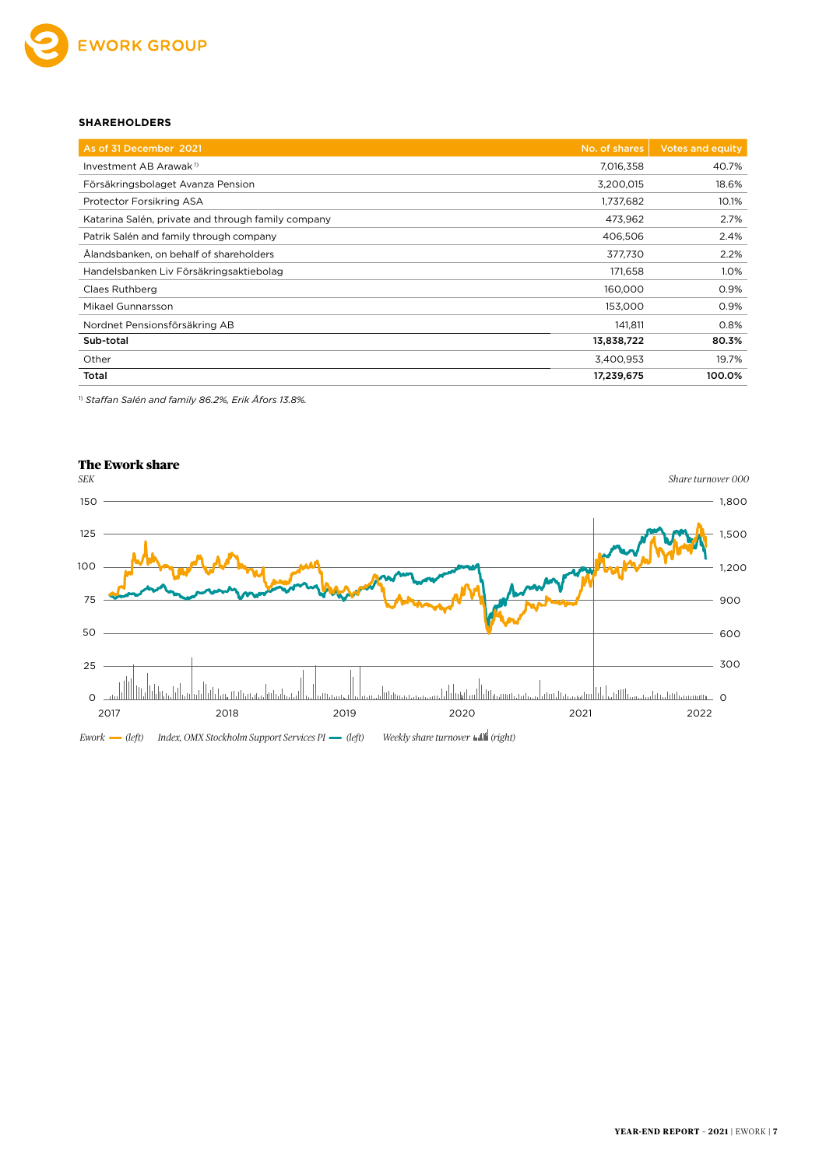

#### **SHAREHOLDERS**

| As of 31 December 2021                             | No. of shares | <b>Votes and equity</b> |
|----------------------------------------------------|---------------|-------------------------|
| Investment AB Arawak <sup>1)</sup>                 | 7,016,358     | 40.7%                   |
| Försäkringsbolaget Avanza Pension                  | 3,200,015     | 18.6%                   |
| Protector Forsikring ASA                           | 1,737,682     | 10.1%                   |
| Katarina Salén, private and through family company | 473,962       | 2.7%                    |
| Patrik Salén and family through company            | 406,506       | 2.4%                    |
| Ålandsbanken, on behalf of shareholders            | 377,730       | 2.2%                    |
| Handelsbanken Liv Försäkringsaktiebolag            | 171,658       | 1.0%                    |
| Claes Ruthberg                                     | 160,000       | 0.9%                    |
| Mikael Gunnarsson                                  | 153,000       | 0.9%                    |
| Nordnet Pensionsförsäkring AB                      | 141,811       | 0.8%                    |
| Sub-total                                          | 13,838,722    | 80.3%                   |
| Other                                              | 3,400,953     | 19.7%                   |
| Total                                              | 17,239,675    | 100.0%                  |

1) *Staffan Salén and family 86.2%, Erik Åfors 13.8%.*

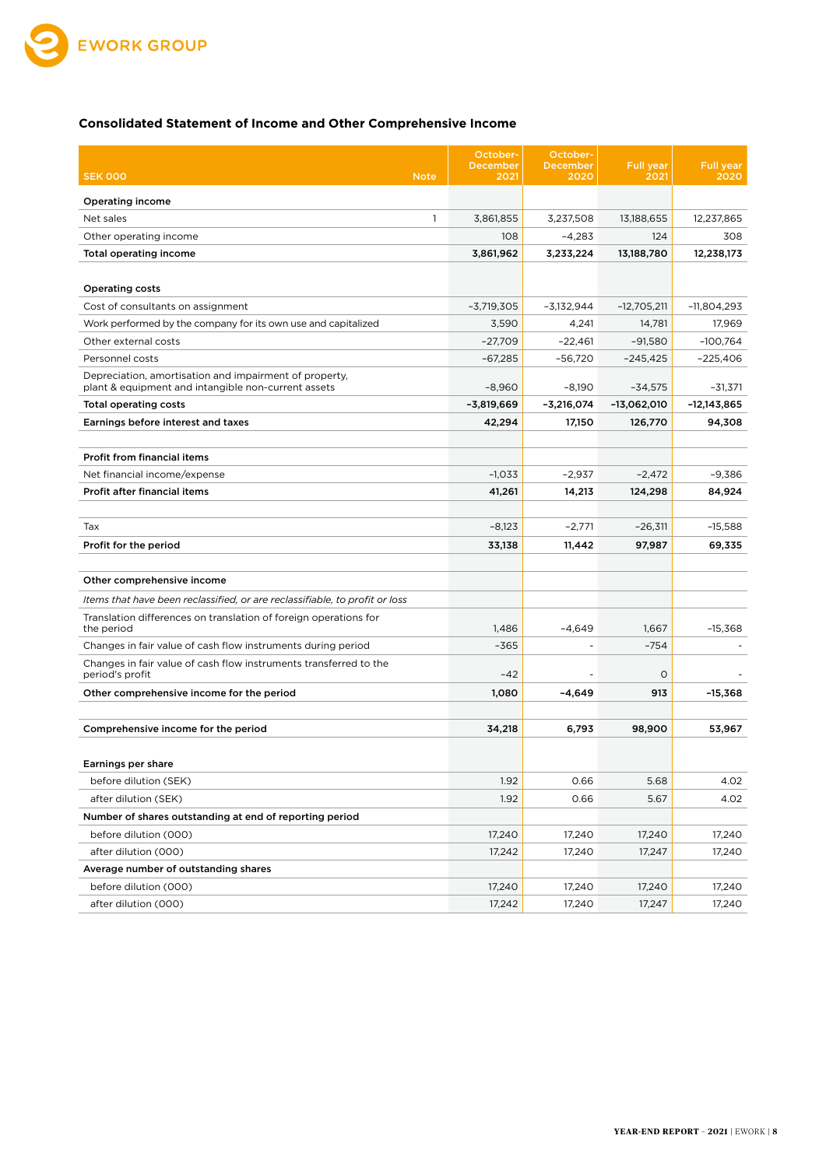

#### **Consolidated Statement of Income and Other Comprehensive Income**

|                                                                                | October-<br>December | October-<br><b>December</b> | <b>Full</b> year | <b>Full year</b> |
|--------------------------------------------------------------------------------|----------------------|-----------------------------|------------------|------------------|
| <b>SEK 000</b><br><b>Note</b>                                                  | 2021                 | 2020                        | 2021             | 2020             |
| Operating income                                                               |                      |                             |                  |                  |
| Net sales<br>$\mathbf{1}$                                                      | 3,861,855            | 3,237,508                   | 13,188,655       | 12.237.865       |
| Other operating income                                                         | 108                  | $-4,283$                    | 124              | 308              |
| Total operating income                                                         | 3,861,962            | 3,233,224                   | 13,188,780       | 12,238,173       |
|                                                                                |                      |                             |                  |                  |
| <b>Operating costs</b>                                                         |                      |                             |                  |                  |
| Cost of consultants on assignment                                              | $-3,719,305$         | $-3,132,944$                | $-12,705,211$    | $-11,804,293$    |
| Work performed by the company for its own use and capitalized                  | 3,590                | 4,241                       | 14,781           | 17,969           |
| Other external costs                                                           | $-27,709$            | $-22,461$                   | $-91,580$        | $-100,764$       |
| Personnel costs                                                                | $-67,285$            | $-56,720$                   | -245,425         | $-225,406$       |
| Depreciation, amortisation and impairment of property,                         |                      |                             |                  |                  |
| plant & equipment and intangible non-current assets                            | $-8,960$             | $-8,190$                    | $-34,575$        | $-31,371$        |
| <b>Total operating costs</b>                                                   | -3,819,669           | -3,216,074                  | -13,062,010      | -12,143,865      |
| Earnings before interest and taxes                                             | 42,294               | 17,150                      | 126,770          | 94,308           |
| Profit from financial items                                                    |                      |                             |                  |                  |
| Net financial income/expense                                                   | $-1,033$             | $-2,937$                    | $-2,472$         | $-9,386$         |
| Profit after financial items                                                   | 41,261               | 14,213                      |                  | 84,924           |
|                                                                                |                      |                             | 124,298          |                  |
| Tax                                                                            | $-8,123$             | $-2,771$                    | $-26,311$        | $-15,588$        |
| Profit for the period                                                          | 33,138               | 11,442                      | 97,987           | 69,335           |
|                                                                                |                      |                             |                  |                  |
| Other comprehensive income                                                     |                      |                             |                  |                  |
| Items that have been reclassified, or are reclassifiable, to profit or loss    |                      |                             |                  |                  |
| Translation differences on translation of foreign operations for<br>the period | 1,486                | -4,649                      | 1,667            | $-15,368$        |
| Changes in fair value of cash flow instruments during period                   | $-365$               |                             | $-754$           |                  |
| Changes in fair value of cash flow instruments transferred to the              |                      |                             |                  |                  |
| period's profit                                                                | $-42$                |                             | $\circ$          |                  |
| Other comprehensive income for the period                                      | 1,080                | $-4,649$                    | 913              | $-15.368$        |
| Comprehensive income for the period                                            | 34.218               | 6,793                       | 98,900           | 53,967           |
|                                                                                |                      |                             |                  |                  |
| Earnings per share                                                             |                      |                             |                  |                  |
| before dilution (SEK)                                                          | 1.92                 | 0.66                        | 5.68             | 4.02             |
| after dilution (SEK)                                                           | 1.92                 | 0.66                        | 5.67             | 4.02             |
| Number of shares outstanding at end of reporting period                        |                      |                             |                  |                  |
| before dilution (000)                                                          | 17,240               | 17,240                      | 17,240           | 17,240           |
| after dilution (000)                                                           | 17,242               | 17,240                      | 17,247           | 17,240           |
| Average number of outstanding shares                                           |                      |                             |                  |                  |
| before dilution (000)                                                          | 17,240               | 17,240                      | 17,240           | 17,240           |
| after dilution (000)                                                           | 17,242               | 17,240                      | 17,247           | 17,240           |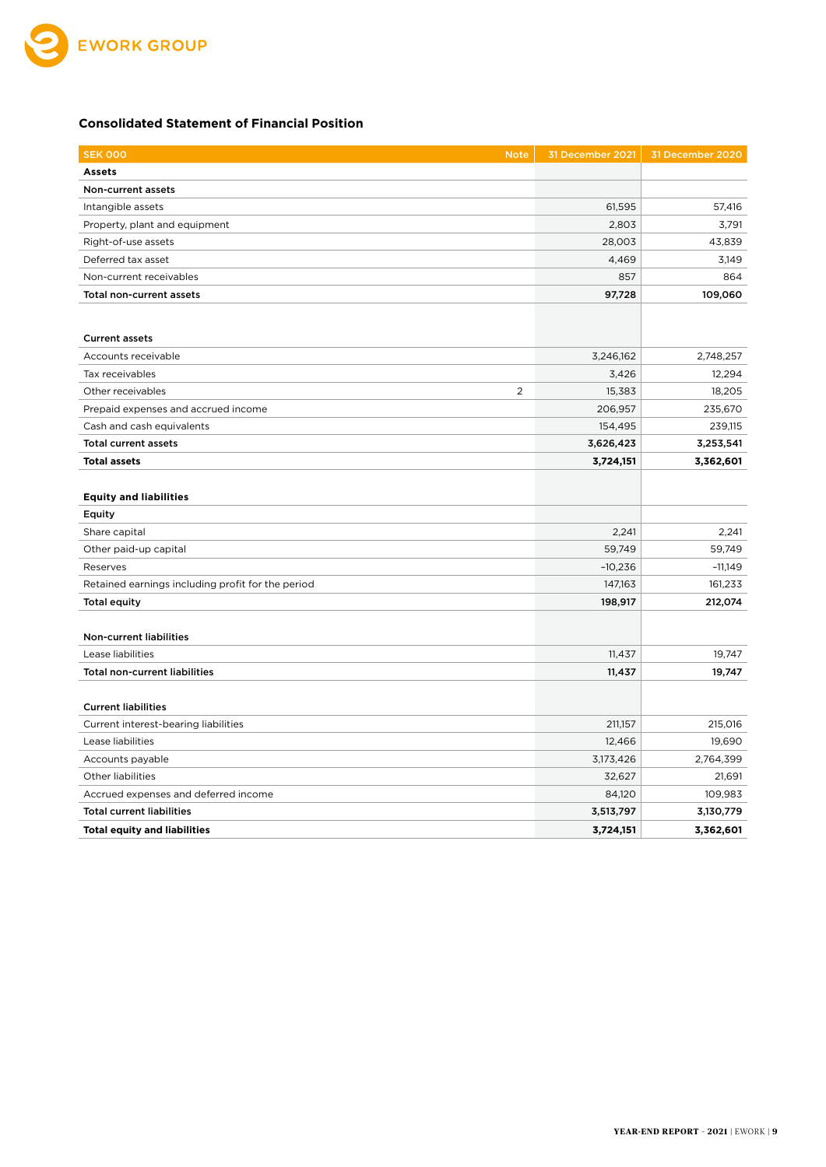

#### **Consolidated Statement of Financial Position**

| <b>SEK 000</b><br><b>Note</b>                     | 31 December 2021 | 31 December 2020 |
|---------------------------------------------------|------------------|------------------|
| <b>Assets</b>                                     |                  |                  |
| Non-current assets                                |                  |                  |
| Intangible assets                                 | 61,595           | 57,416           |
| Property, plant and equipment                     | 2,803            | 3,791            |
| Right-of-use assets                               | 28,003           | 43,839           |
| Deferred tax asset                                | 4,469            | 3,149            |
| Non-current receivables                           | 857              | 864              |
| Total non-current assets                          | 97,728           | 109,060          |
|                                                   |                  |                  |
| <b>Current assets</b>                             |                  |                  |
| Accounts receivable                               | 3,246,162        | 2,748,257        |
| Tax receivables                                   | 3,426            | 12,294           |
| 2<br>Other receivables                            | 15,383           | 18,205           |
| Prepaid expenses and accrued income               | 206,957          | 235,670          |
| Cash and cash equivalents                         | 154,495          | 239,115          |
| <b>Total current assets</b>                       | 3,626,423        | 3,253,541        |
| <b>Total assets</b>                               | 3,724,151        | 3,362,601        |
|                                                   |                  |                  |
| <b>Equity and liabilities</b>                     |                  |                  |
| Equity                                            |                  |                  |
| Share capital                                     | 2,241            | 2,241            |
| Other paid-up capital                             | 59,749           | 59,749           |
| Reserves                                          | $-10,236$        | $-11,149$        |
| Retained earnings including profit for the period | 147,163          | 161,233          |
| <b>Total equity</b>                               | 198,917          | 212,074          |
|                                                   |                  |                  |
| Non-current liabilities                           |                  |                  |
| Lease liabilities                                 | 11,437           | 19,747           |
| <b>Total non-current liabilities</b>              | 11,437           | 19,747           |
|                                                   |                  |                  |
| <b>Current liabilities</b>                        |                  |                  |
| Current interest-bearing liabilities              | 211,157          | 215,016          |
| Lease liabilities                                 | 12,466           | 19,690           |
| Accounts payable                                  | 3,173,426        | 2,764,399        |
| Other liabilities                                 | 32,627           | 21,691           |
| Accrued expenses and deferred income              | 84,120           | 109,983          |
| <b>Total current liabilities</b>                  | 3,513,797        | 3,130,779        |
| <b>Total equity and liabilities</b>               | 3,724,151        | 3,362,601        |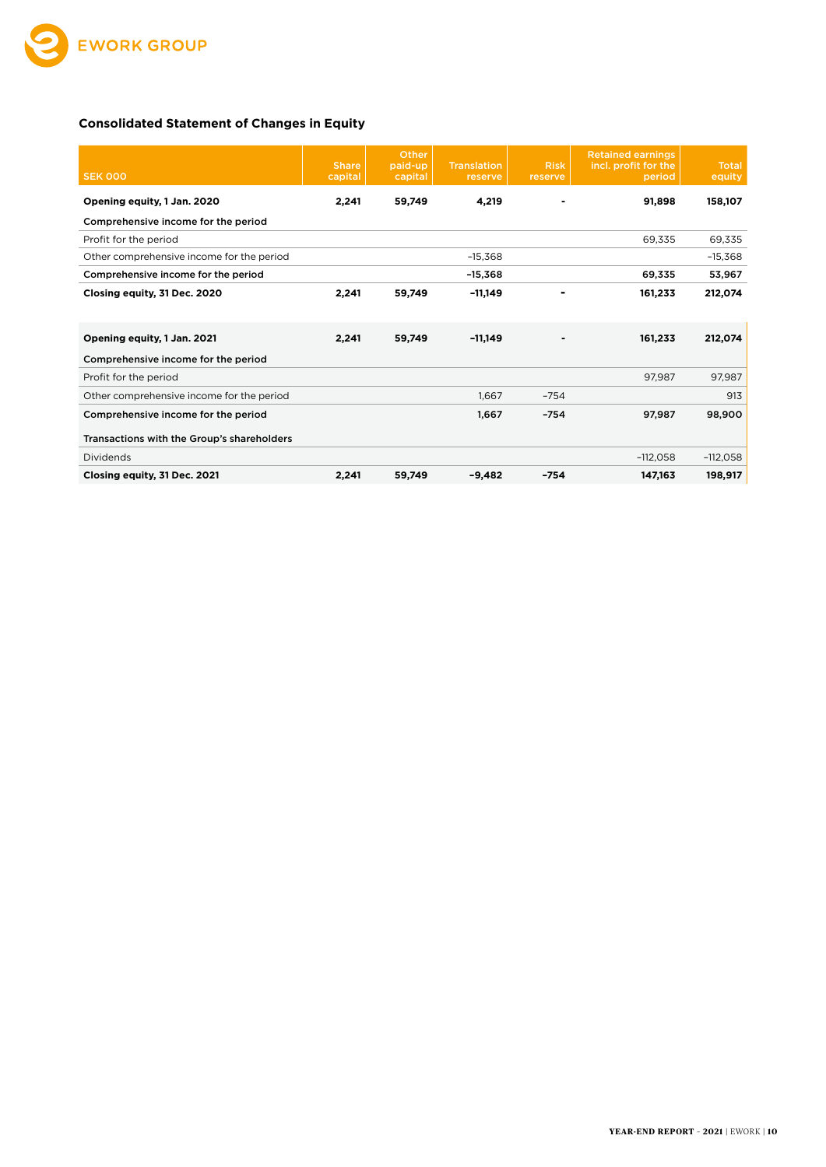

#### **Consolidated Statement of Changes in Equity**

| <b>SEK 000</b>                             | <b>Share</b><br>capital | Other<br>paid-up<br>capital | <b>Translation</b><br>reserve | <b>Risk</b><br>reserve | <b>Retained earnings</b><br>incl. profit for the<br>period | <b>Total</b><br>equity |
|--------------------------------------------|-------------------------|-----------------------------|-------------------------------|------------------------|------------------------------------------------------------|------------------------|
| Opening equity, 1 Jan. 2020                | 2,241                   | 59,749                      | 4,219                         |                        | 91,898                                                     | 158,107                |
| Comprehensive income for the period        |                         |                             |                               |                        |                                                            |                        |
| Profit for the period                      |                         |                             |                               |                        | 69,335                                                     | 69,335                 |
| Other comprehensive income for the period  |                         |                             | $-15,368$                     |                        |                                                            | $-15,368$              |
| Comprehensive income for the period        |                         |                             | $-15,368$                     |                        | 69,335                                                     | 53,967                 |
| Closing equity, 31 Dec. 2020               | 2,241                   | 59,749                      | -11,149                       |                        | 161,233                                                    | 212,074                |
| Opening equity, 1 Jan. 2021                | 2,241                   | 59,749                      | $-11,149$                     |                        | 161,233                                                    | 212,074                |
| Comprehensive income for the period        |                         |                             |                               |                        |                                                            |                        |
| Profit for the period                      |                         |                             |                               |                        | 97,987                                                     | 97,987                 |
| Other comprehensive income for the period  |                         |                             | 1.667                         | $-754$                 |                                                            | 913                    |
| Comprehensive income for the period        |                         |                             | 1,667                         | $-754$                 | 97,987                                                     | 98,900                 |
| Transactions with the Group's shareholders |                         |                             |                               |                        |                                                            |                        |
| Dividends                                  |                         |                             |                               |                        | $-112,058$                                                 | $-112,058$             |
| Closing equity, 31 Dec. 2021               | 2,241                   | 59,749                      | $-9,482$                      | $-754$                 | 147,163                                                    | 198,917                |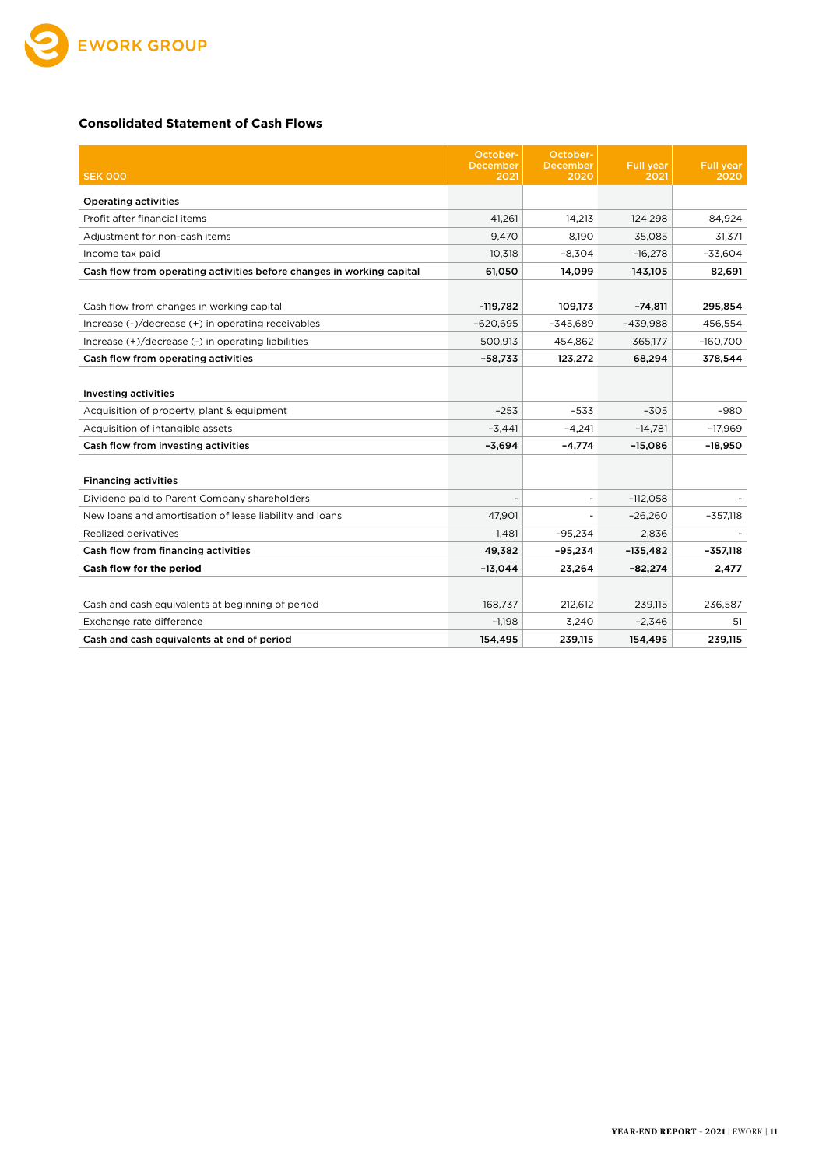

#### **Consolidated Statement of Cash Flows**

|                                                                       | October-                | October-                 |                          |                          |
|-----------------------------------------------------------------------|-------------------------|--------------------------|--------------------------|--------------------------|
| <b>SEK 000</b>                                                        | <b>December</b><br>2021 | December<br>2020         | <b>Full year</b><br>2021 | <b>Full year</b><br>2020 |
| <b>Operating activities</b>                                           |                         |                          |                          |                          |
| Profit after financial items                                          | 41,261                  | 14,213                   | 124,298                  | 84,924                   |
| Adjustment for non-cash items                                         | 9,470                   | 8.190                    | 35,085                   | 31,371                   |
| Income tax paid                                                       | 10,318                  | $-8,304$                 | $-16,278$                | $-33,604$                |
| Cash flow from operating activities before changes in working capital | 61,050                  | 14,099                   | 143,105                  | 82,691                   |
|                                                                       |                         |                          |                          |                          |
| Cash flow from changes in working capital                             | $-119,782$              | 109,173                  | $-74,811$                | 295,854                  |
| Increase (-)/decrease (+) in operating receivables                    | $-620,695$              | $-345,689$               | $-439,988$               | 456,554                  |
| Increase (+)/decrease (-) in operating liabilities                    | 500,913                 | 454,862                  | 365,177                  | $-160,700$               |
| Cash flow from operating activities                                   | $-58,733$               | 123,272                  | 68,294                   | 378,544                  |
|                                                                       |                         |                          |                          |                          |
| <b>Investing activities</b>                                           |                         |                          |                          |                          |
| Acquisition of property, plant & equipment                            | $-253$                  | $-533$                   | $-305$                   | -980                     |
| Acquisition of intangible assets                                      | $-3,441$                | $-4,241$                 | $-14,781$                | $-17,969$                |
| Cash flow from investing activities                                   | $-3,694$                | $-4,774$                 | $-15,086$                | $-18,950$                |
|                                                                       |                         |                          |                          |                          |
| <b>Financing activities</b>                                           |                         |                          |                          |                          |
| Dividend paid to Parent Company shareholders                          |                         | $\overline{\phantom{a}}$ | $-112,058$               |                          |
| New loans and amortisation of lease liability and loans               | 47,901                  | $\overline{\phantom{a}}$ | $-26,260$                | $-357,118$               |
| Realized derivatives                                                  | 1,481                   | $-95,234$                | 2,836                    |                          |
| Cash flow from financing activities                                   | 49,382                  | $-95,234$                | $-135,482$               | $-357,118$               |
| Cash flow for the period                                              | $-13,044$               | 23,264                   | $-82,274$                | 2,477                    |
|                                                                       |                         |                          |                          |                          |
| Cash and cash equivalents at beginning of period                      | 168,737                 | 212,612                  | 239,115                  | 236,587                  |
| Exchange rate difference                                              | $-1,198$                | 3,240                    | $-2,346$                 | 51                       |
| Cash and cash equivalents at end of period                            | 154,495                 | 239,115                  | 154,495                  | 239,115                  |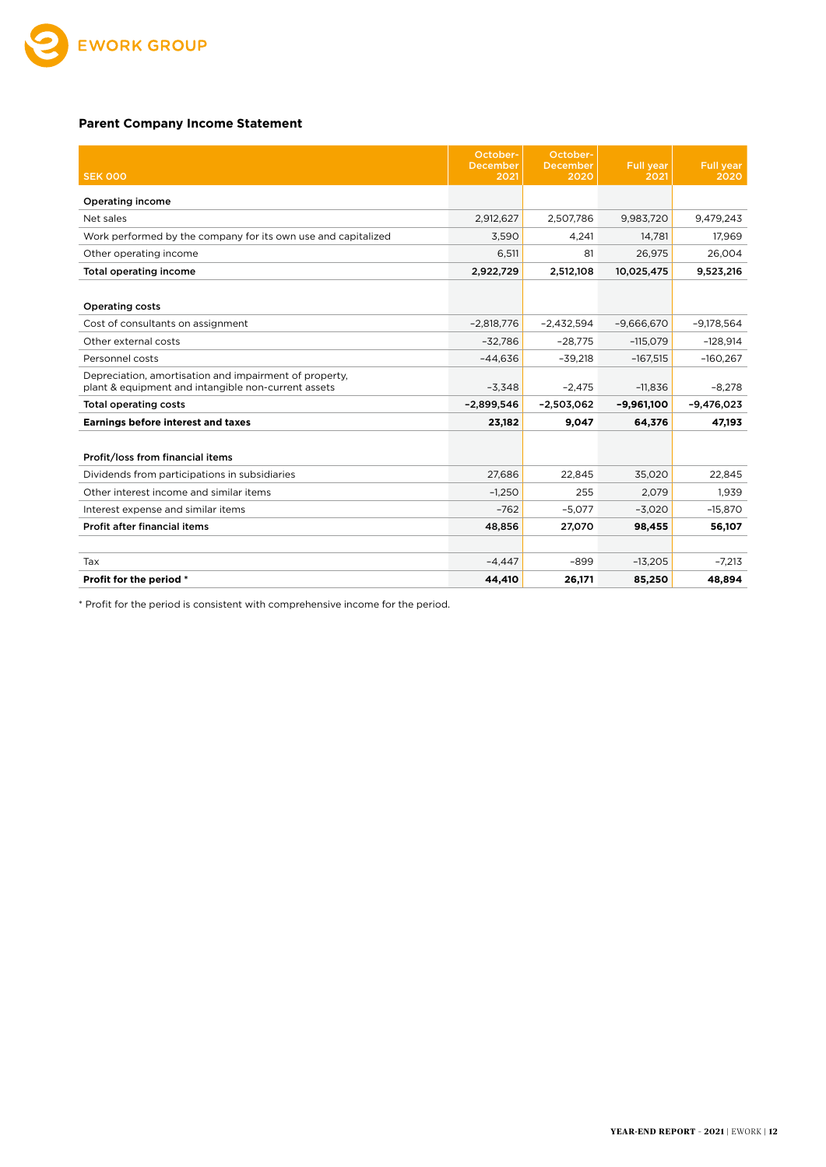

#### **Parent Company Income Statement**

|                                                                                                               | October-<br><b>December</b> | October-<br><b>December</b> | Full year    | <b>Full year</b> |
|---------------------------------------------------------------------------------------------------------------|-----------------------------|-----------------------------|--------------|------------------|
| <b>SEK 000</b>                                                                                                | 2021                        | 2020                        | 2021         | 2020             |
| <b>Operating income</b>                                                                                       |                             |                             |              |                  |
| Net sales                                                                                                     | 2,912,627                   | 2,507,786                   | 9,983,720    | 9,479,243        |
| Work performed by the company for its own use and capitalized                                                 | 3,590                       | 4.241                       | 14,781       | 17,969           |
| Other operating income                                                                                        | 6,511                       | 81                          | 26,975       | 26,004           |
| Total operating income                                                                                        | 2,922,729                   | 2,512,108                   | 10,025,475   | 9,523,216        |
|                                                                                                               |                             |                             |              |                  |
| <b>Operating costs</b>                                                                                        |                             |                             |              |                  |
| Cost of consultants on assignment                                                                             | $-2.818.776$                | $-2.432.594$                | $-9.666.670$ | $-9.178.564$     |
| Other external costs                                                                                          | $-32.786$                   | $-28,775$                   | $-115,079$   | $-128,914$       |
| Personnel costs                                                                                               | $-44.636$                   | $-39,218$                   | $-167,515$   | $-160,267$       |
| Depreciation, amortisation and impairment of property,<br>plant & equipment and intangible non-current assets | $-3,348$                    | $-2.475$                    | $-11,836$    | $-8,278$         |
| <b>Total operating costs</b>                                                                                  | $-2,899,546$                | $-2,503,062$                | $-9,961,100$ | $-9,476,023$     |
| <b>Earnings before interest and taxes</b>                                                                     | 23,182                      | 9,047                       | 64,376       | 47,193           |
|                                                                                                               |                             |                             |              |                  |
| Profit/loss from financial items                                                                              |                             |                             |              |                  |
| Dividends from participations in subsidiaries                                                                 | 27,686                      | 22,845                      | 35,020       | 22,845           |
| Other interest income and similar items                                                                       | $-1.250$                    | 255                         | 2.079        | 1.939            |
| Interest expense and similar items                                                                            | $-762$                      | $-5,077$                    | $-3,020$     | $-15,870$        |
| Profit after financial items                                                                                  | 48,856                      | 27,070                      | 98,455       | 56,107           |
|                                                                                                               |                             |                             |              |                  |
| Tax                                                                                                           | $-4.447$                    | $-899$                      | $-13,205$    | $-7,213$         |
| Profit for the period *                                                                                       | 44.410                      | 26,171                      | 85,250       | 48,894           |

\* Profit for the period is consistent with comprehensive income for the period.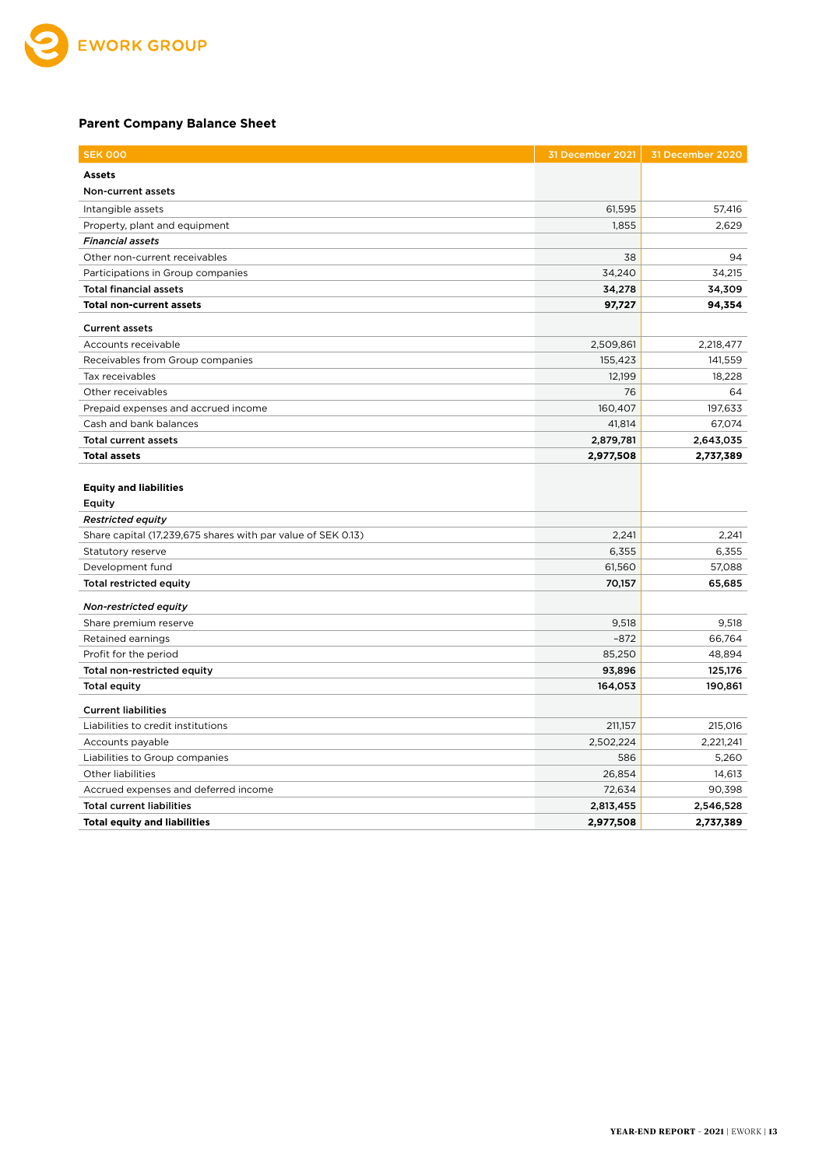

#### **Parent Company Balance Sheet**

| <b>SEK 000</b>                                               | 31 December 2021 | 31 December 2020 |
|--------------------------------------------------------------|------------------|------------------|
| <b>Assets</b>                                                |                  |                  |
| Non-current assets                                           |                  |                  |
| Intangible assets                                            | 61,595           | 57,416           |
| Property, plant and equipment                                | 1,855            | 2,629            |
| <b>Financial assets</b>                                      |                  |                  |
| Other non-current receivables                                | 38               | 94               |
| Participations in Group companies                            | 34,240           | 34,215           |
| <b>Total financial assets</b>                                | 34,278           | 34,309           |
| <b>Total non-current assets</b>                              | 97,727           | 94,354           |
| <b>Current assets</b>                                        |                  |                  |
| Accounts receivable                                          | 2,509,861        | 2,218,477        |
| Receivables from Group companies                             | 155,423          | 141,559          |
| Tax receivables                                              | 12,199           | 18,228           |
| Other receivables                                            | 76               | 64               |
| Prepaid expenses and accrued income                          | 160,407          | 197,633          |
| Cash and bank balances                                       | 41,814           | 67,074           |
| <b>Total current assets</b>                                  | 2,879,781        | 2,643,035        |
| <b>Total assets</b>                                          | 2,977,508        | 2,737,389        |
| <b>Equity and liabilities</b><br>Equity                      |                  |                  |
| <b>Restricted equity</b>                                     |                  |                  |
| Share capital (17,239,675 shares with par value of SEK 0.13) | 2,241            | 2,241            |
| Statutory reserve                                            | 6,355            | 6,355            |
| Development fund                                             | 61,560           | 57,088           |
| Total restricted equity                                      | 70,157           | 65,685           |
| Non-restricted equity                                        |                  |                  |
| Share premium reserve                                        | 9,518            | 9,518            |
| Retained earnings                                            | $-872$           | 66,764           |
| Profit for the period                                        | 85,250           | 48,894           |
| Total non-restricted equity                                  | 93,896           | 125,176          |
| <b>Total equity</b>                                          | 164,053          | 190,861          |
| <b>Current liabilities</b>                                   |                  |                  |
| Liabilities to credit institutions                           | 211,157          | 215,016          |
| Accounts payable                                             | 2,502,224        | 2,221,241        |
| Liabilities to Group companies                               | 586              | 5,260            |
| Other liabilities                                            | 26,854           | 14,613           |
| Accrued expenses and deferred income                         | 72,634           | 90,398           |
| <b>Total current liabilities</b>                             | 2,813,455        | 2,546,528        |
| <b>Total equity and liabilities</b>                          | 2,977,508        | 2,737,389        |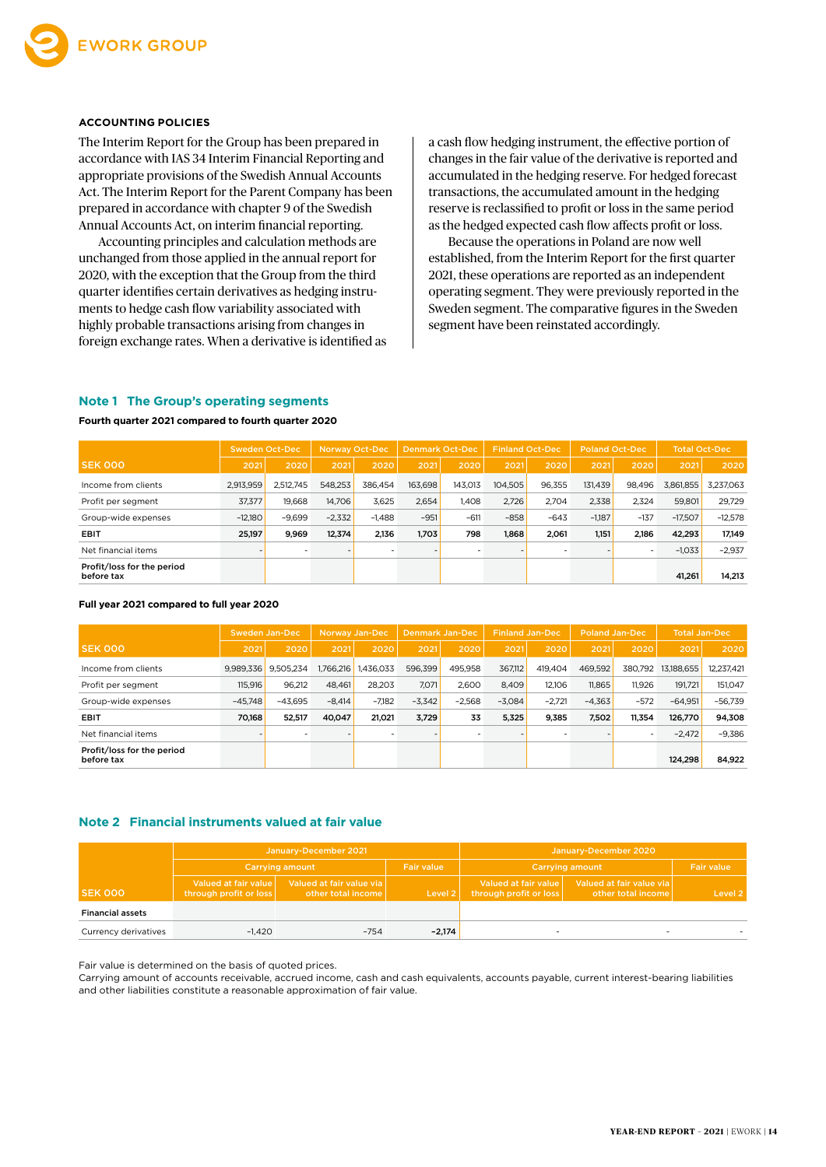

#### **ACCOUNTING POLICIES**

The Interim Report for the Group has been prepared in accordance with IAS 34 Interim Financial Reporting and appropriate provisions of the Swedish Annual Accounts Act. The Interim Report for the Parent Company has been prepared in accordance with chapter 9 of the Swedish Annual Accounts Act, on interim financial reporting.

Accounting principles and calculation methods are unchanged from those applied in the annual report for 2020, with the exception that the Group from the third quarter identifies certain derivatives as hedging instruments to hedge cash flow variability associated with highly probable transactions arising from changes in foreign exchange rates. When a derivative is identified as a cash flow hedging instrument, the effective portion of changes in the fair value of the derivative is reported and accumulated in the hedging reserve. For hedged forecast transactions, the accumulated amount in the hedging reserve is reclassified to profit or loss in the same period as the hedged expected cash flow affects profit or loss.

Because the operations in Poland are now well established, from the Interim Report for the first quarter 2021, these operations are reported as an independent operating segment. They were previously reported in the Sweden segment. The comparative figures in the Sweden segment have been reinstated accordingly.

#### **Note 1 The Group's operating segments**

**Fourth quarter 2021 compared to fourth quarter 2020**

|                                          | Sweden Oct-Dec |           | <b>Norway Oct-Dec</b> |          |         | <b>Finland Oct-Dec</b><br><b>Denmark Oct-Dec</b> |         | <b>Poland Oct-Dec</b> |          | <b>Total Oct-Dec</b> |           |           |
|------------------------------------------|----------------|-----------|-----------------------|----------|---------|--------------------------------------------------|---------|-----------------------|----------|----------------------|-----------|-----------|
| <b>SEK 000</b>                           | 2021           | 2020      | 2021                  | 2020     | 2021    | 2020                                             | 2021    | 2020                  | 2021     | 2020                 | 2021      | 2020      |
| Income from clients                      | 2,913,959      | 2.512.745 | 548.253               | 386.454  | 163.698 | 143.013                                          | 104.505 | 96.355                | 131.439  | 98.496               | 3,861,855 | 3.237.063 |
| Profit per segment                       | 37,377         | 19.668    | 14,706                | 3.625    | 2,654   | 1.408                                            | 2,726   | 2.704                 | 2,338    | 2.324                | 59,801    | 29.729    |
| Group-wide expenses                      | $-12.180$      | $-9.699$  | $-2,332$              | $-1.488$ | $-951$  | $-611$                                           | $-858$  | $-643$                | $-1.187$ | $-137$               | $-17.507$ | $-12.578$ |
| <b>EBIT</b>                              | 25,197         | 9.969     | 12.374                | 2.136    | 1.703   | 798                                              | 1,868   | 2.061                 | 1.151    | 2,186                | 42.293    | 17,149    |
| Net financial items                      |                |           |                       |          |         |                                                  |         |                       |          |                      | $-1,033$  | $-2,937$  |
| Profit/loss for the period<br>before tax |                |           |                       |          |         |                                                  |         |                       |          |                      | 41,261    | 14,213    |

#### **Full year 2021 compared to full year 2020**

|                                          | Sweden Jan-Dec |           | <b>Norway Jan-Dec</b> | Denmark Jan-Dec |          |          | <b>Finland Jan-Dec</b> |          | <b>Poland Jan-Dec</b> |         | <b>Total Jan-Dec</b> |            |
|------------------------------------------|----------------|-----------|-----------------------|-----------------|----------|----------|------------------------|----------|-----------------------|---------|----------------------|------------|
| <b>SEK 000</b>                           | 2021           | 2020      | 2021                  | 2020            | 2021     | 2020     | 2021                   | 2020     | 2021                  | 2020    | 2021                 | 2020       |
| Income from clients                      | 9.989.336      | 9.505.234 | 1,766,216             | 1.436.033       | 596.399  | 495.958  | 367.112                | 419.404  | 469.592               | 380.792 | 13,188,655           | 12,237,421 |
| Profit per segment                       | 115.916        | 96.212    | 48.461                | 28.203          | 7,071    | 2.600    | 8.409                  | 12.106   | 11.865                | 11.926  | 191.721              | 151.047    |
| Group-wide expenses                      | $-45.748$      | $-43.695$ | $-8.414$              | $-7.182$        | $-3.342$ | $-2.568$ | $-3.084$               | $-2.721$ | $-4.363$              | $-572$  | $-64.951$            | $-56.739$  |
| <b>EBIT</b>                              | 70.168         | 52,517    | 40,047                | 21.021          | 3,729    | 33       | 5,325                  | 9,385    | 7,502                 | 11.354  | 126,770              | 94,308     |
| Net financial items                      |                |           |                       |                 |          |          |                        |          |                       |         | $-2,472$             | $-9,386$   |
| Profit/loss for the period<br>before tax |                |           |                       |                 |          |          |                        |          |                       |         | 124.298              | 84,922     |

#### **Note 2 Financial instruments valued at fair value**

|                         |                                                | January-December 2021                          |                   |                                                | January-December 2020                          |                   |
|-------------------------|------------------------------------------------|------------------------------------------------|-------------------|------------------------------------------------|------------------------------------------------|-------------------|
|                         |                                                | <b>Carrying amount</b>                         | <b>Fair value</b> |                                                | <b>Carrying amount</b>                         | <b>Fair value</b> |
| <b>SEK 000</b>          | Valued at fair value<br>through profit or loss | Valued at fair value via<br>other total income | Level 2           | Valued at fair value<br>through profit or loss | Valued at fair value via<br>other total income | Level 2           |
| <b>Financial assets</b> |                                                |                                                |                   |                                                |                                                |                   |
| Currency derivatives    | $-1.420$                                       | $-754$                                         | $-2,174$          |                                                |                                                |                   |

Fair value is determined on the basis of quoted prices.

Carrying amount of accounts receivable, accrued income, cash and cash equivalents, accounts payable, current interest-bearing liabilities and other liabilities constitute a reasonable approximation of fair value.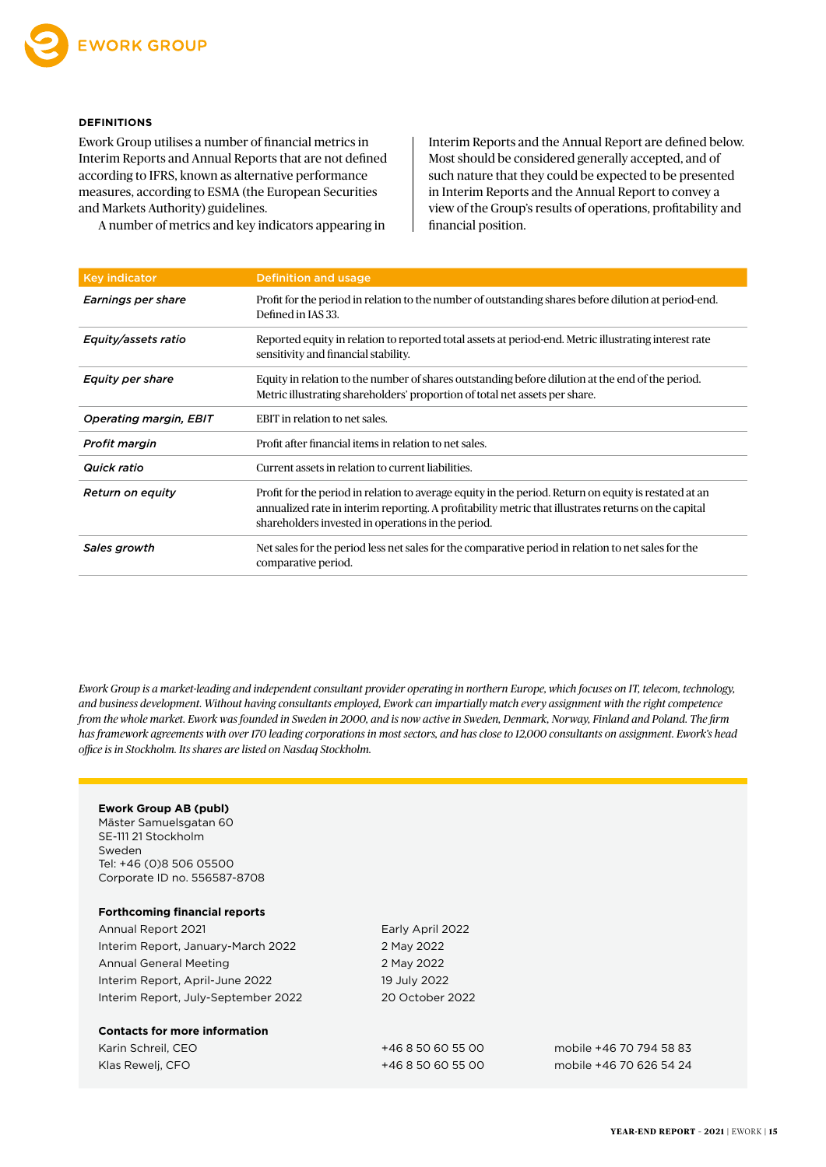#### **DEFINITIONS**

Ework Group utilises a number of financial metrics in Interim Reports and Annual Reports that are not defined according to IFRS, known as alternative performance measures, according to ESMA (the European Securities and Markets Authority) guidelines.

A number of metrics and key indicators appearing in

Interim Reports and the Annual Report are defined below. Most should be considered generally accepted, and of such nature that they could be expected to be presented in Interim Reports and the Annual Report to convey a view of the Group's results of operations, profitability and financial position.

| <b>Key indicator</b>          | <b>Definition and usage</b>                                                                                                                                                                                                                                         |
|-------------------------------|---------------------------------------------------------------------------------------------------------------------------------------------------------------------------------------------------------------------------------------------------------------------|
| Earnings per share            | Profit for the period in relation to the number of outstanding shares before dilution at period-end.<br>Defined in IAS 33.                                                                                                                                          |
| Equity/assets ratio           | Reported equity in relation to reported total assets at period-end. Metric illustrating interest rate<br>sensitivity and financial stability.                                                                                                                       |
| <b>Equity per share</b>       | Equity in relation to the number of shares outstanding before dilution at the end of the period.<br>Metric illustrating shareholders' proportion of total net assets per share.                                                                                     |
| <b>Operating margin, EBIT</b> | EBIT in relation to net sales.                                                                                                                                                                                                                                      |
| <b>Profit margin</b>          | Profit after financial items in relation to net sales.                                                                                                                                                                                                              |
| Quick ratio                   | Current assets in relation to current liabilities.                                                                                                                                                                                                                  |
| <b>Return on equity</b>       | Profit for the period in relation to average equity in the period. Return on equity is restated at an<br>annualized rate in interim reporting. A profitability metric that illustrates returns on the capital<br>shareholders invested in operations in the period. |
| Sales growth                  | Net sales for the period less net sales for the comparative period in relation to net sales for the<br>comparative period.                                                                                                                                          |

*Ework Group is a market-leading and independent consultant provider operating in northern Europe, which focuses on IT, telecom, technology, and business development. Without having consultants employed, Ework can impartially match every assignment with the right competence from the whole market. Ework was founded in Sweden in 2000, and is now active in Sweden, Denmark, Norway, Finland and Poland. The firm has framework agreements with over 170 leading corporations in most sectors, and has close to 12,000 consultants on assignment. Ework's head office is in Stockholm. Its shares are listed on Nasdaq Stockholm.*

#### **Ework Group AB (publ)**

Mäster Samuelsgatan 60 SE-111 21 Stockholm Sweden Tel: +46 (0)8 506 05500 Corporate ID no. 556587-8708

#### **Forthcoming financial reports**

Annual Report 2021 **Early April 2022** Interim Report, January-March 2022 2 May 2022 Annual General Meeting 2 May 2022 Interim Report, April-June 2022 19 July 2022 Interim Report, July-September 2022 20 October 2022

#### **Contacts for more information**

| Karin Schreil, CEO | +46 8 50 60 55 00 | mobile +46 70 794 58 83 |
|--------------------|-------------------|-------------------------|
| Klas Rewelj, CFO   | +46 8 50 60 55 00 | mobile +46 70 626 54 24 |